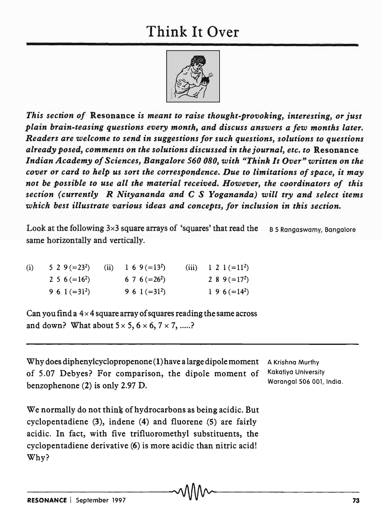## Think It Over



*This section of* Resonance *is meant to raise thought-provoking, interesting, or just plain brain-teasing questions every month, and discuss answers a few months later. Readers are welcome to send in suggestions for such questions, solutions to questions already posed, comments on the solutions discussed in the journal, etc. to* Resonance *Indian Academy of Sciences, Bangalore 560 080, with "Think It Over" written on the cover or card to help us sort the correspondence. Due to limitations of space, it may not be possible to use all the material received. However, the coordinators of this section (currently R Nityananda and* C S *Yogananda) will try and select items which best illustrate various ideas and concepts, for inclusion in this section.* 

Look at the following  $3\times 3$  square arrays of 'squares' that read the B S Rangaswamy, Bangalore same horizontally and vertically.

| (i) | 5 2 9 (=23 <sup>2</sup> ) (ii) 1 6 9 (=13 <sup>2</sup> ) |                   | (iii) $1 \ 2 \ 1 \ (-11^2)$ |
|-----|----------------------------------------------------------|-------------------|-----------------------------|
|     | 2 5 6 ( $=16^2$ )                                        | 6 7 6 ( $=26^2$ ) | 2 8 9 ( $=172$ )            |
|     | 9 6 1 (= $31^2$ )                                        | 9 6 1 (= $31^2$ ) | $1\,9\,6\,(=14^2)$          |

Can you find a  $4 \times 4$  square array of squares reading the same across and down? What about  $5 \times 5$ ,  $6 \times 6$ ,  $7 \times 7$ , .....?

Why does dipheny1cyclopropenone (1) have a large dipole moment of 5.07 Debyes? For comparison, the dipole moment of benzophenone (2) is only 2.97 D.

A Krishna Murthy Kokatiyo University Warangal 506 001, India.

We normally do not think of hydrocarbons as being acidic. But cyclopentadiene  $(3)$ , indene  $(4)$  and fluorene  $(5)$  are fairly acidic. In fact, with five trifluoromethyl substituents, the cyclopentadiene derivative (6) is more acidic than nitric acid! Why?